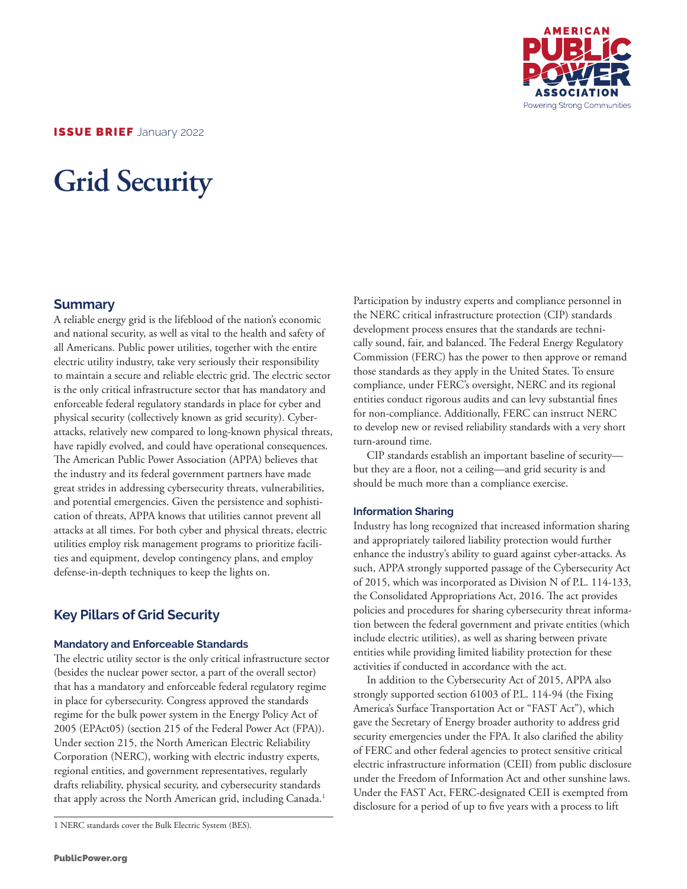

ISSUE BRIEF January 2022

# **Grid Security**

## **Summary**

A reliable energy grid is the lifeblood of the nation's economic and national security, as well as vital to the health and safety of all Americans. Public power utilities, together with the entire electric utility industry, take very seriously their responsibility to maintain a secure and reliable electric grid. The electric sector is the only critical infrastructure sector that has mandatory and enforceable federal regulatory standards in place for cyber and physical security (collectively known as grid security). Cyberattacks, relatively new compared to long-known physical threats, have rapidly evolved, and could have operational consequences. The American Public Power Association (APPA) believes that the industry and its federal government partners have made great strides in addressing cybersecurity threats, vulnerabilities, and potential emergencies. Given the persistence and sophistication of threats, APPA knows that utilities cannot prevent all attacks at all times. For both cyber and physical threats, electric utilities employ risk management programs to prioritize facilities and equipment, develop contingency plans, and employ defense-in-depth techniques to keep the lights on.

# **Key Pillars of Grid Security**

#### **Mandatory and Enforceable Standards**

The electric utility sector is the only critical infrastructure sector (besides the nuclear power sector, a part of the overall sector) that has a mandatory and enforceable federal regulatory regime in place for cybersecurity. Congress approved the standards regime for the bulk power system in the Energy Policy Act of 2005 (EPAct05) (section 215 of the Federal Power Act (FPA)). Under section 215, the North American Electric Reliability Corporation (NERC), working with electric industry experts, regional entities, and government representatives, regularly drafts reliability, physical security, and cybersecurity standards that apply across the North American grid, including Canada.<sup>1</sup>

1 NERC standards cover the Bulk Electric System (BES).

Participation by industry experts and compliance personnel in the NERC critical infrastructure protection (CIP) standards development process ensures that the standards are technically sound, fair, and balanced. The Federal Energy Regulatory Commission (FERC) has the power to then approve or remand those standards as they apply in the United States. To ensure compliance, under FERC's oversight, NERC and its regional entities conduct rigorous audits and can levy substantial fines for non-compliance. Additionally, FERC can instruct NERC to develop new or revised reliability standards with a very short turn-around time.

CIP standards establish an important baseline of security but they are a floor, not a ceiling—and grid security is and should be much more than a compliance exercise.

#### **Information Sharing**

Industry has long recognized that increased information sharing and appropriately tailored liability protection would further enhance the industry's ability to guard against cyber-attacks. As such, APPA strongly supported passage of the Cybersecurity Act of 2015, which was incorporated as Division N of P.L. 114-133, the Consolidated Appropriations Act, 2016. The act provides policies and procedures for sharing cybersecurity threat information between the federal government and private entities (which include electric utilities), as well as sharing between private entities while providing limited liability protection for these activities if conducted in accordance with the act.

In addition to the Cybersecurity Act of 2015, APPA also strongly supported section 61003 of P.L. 114-94 (the Fixing America's Surface Transportation Act or "FAST Act"), which gave the Secretary of Energy broader authority to address grid security emergencies under the FPA. It also clarified the ability of FERC and other federal agencies to protect sensitive critical electric infrastructure information (CEII) from public disclosure under the Freedom of Information Act and other sunshine laws. Under the FAST Act, FERC-designated CEII is exempted from disclosure for a period of up to five years with a process to lift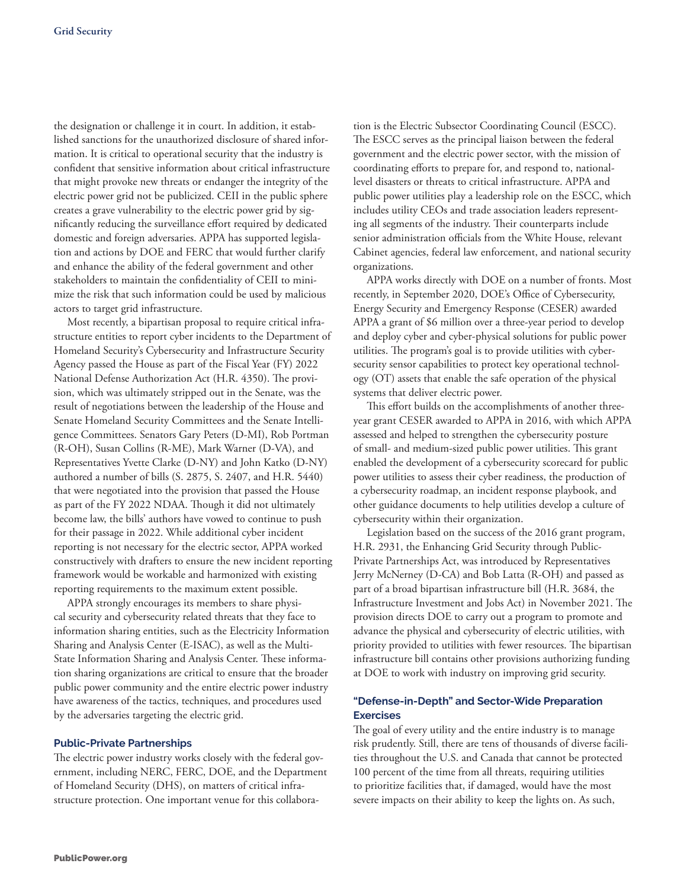the designation or challenge it in court. In addition, it established sanctions for the unauthorized disclosure of shared information. It is critical to operational security that the industry is confident that sensitive information about critical infrastructure that might provoke new threats or endanger the integrity of the electric power grid not be publicized. CEII in the public sphere creates a grave vulnerability to the electric power grid by significantly reducing the surveillance effort required by dedicated domestic and foreign adversaries. APPA has supported legislation and actions by DOE and FERC that would further clarify and enhance the ability of the federal government and other stakeholders to maintain the confidentiality of CEII to minimize the risk that such information could be used by malicious actors to target grid infrastructure.

Most recently, a bipartisan proposal to require critical infrastructure entities to report cyber incidents to the Department of Homeland Security's Cybersecurity and Infrastructure Security Agency passed the House as part of the Fiscal Year (FY) 2022 National Defense Authorization Act (H.R. 4350). The provision, which was ultimately stripped out in the Senate, was the result of negotiations between the leadership of the House and Senate Homeland Security Committees and the Senate Intelligence Committees. Senators Gary Peters (D-MI), Rob Portman (R-OH), Susan Collins (R-ME), Mark Warner (D-VA), and Representatives Yvette Clarke (D-NY) and John Katko (D-NY) authored a number of bills (S. 2875, S. 2407, and H.R. 5440) that were negotiated into the provision that passed the House as part of the FY 2022 NDAA. Though it did not ultimately become law, the bills' authors have vowed to continue to push for their passage in 2022. While additional cyber incident reporting is not necessary for the electric sector, APPA worked constructively with drafters to ensure the new incident reporting framework would be workable and harmonized with existing reporting requirements to the maximum extent possible.

APPA strongly encourages its members to share physical security and cybersecurity related threats that they face to information sharing entities, such as the Electricity Information Sharing and Analysis Center (E-ISAC), as well as the Multi-State Information Sharing and Analysis Center. These information sharing organizations are critical to ensure that the broader public power community and the entire electric power industry have awareness of the tactics, techniques, and procedures used by the adversaries targeting the electric grid.

#### **Public-Private Partnerships**

The electric power industry works closely with the federal government, including NERC, FERC, DOE, and the Department of Homeland Security (DHS), on matters of critical infrastructure protection. One important venue for this collaboration is the Electric Subsector Coordinating Council (ESCC). The ESCC serves as the principal liaison between the federal government and the electric power sector, with the mission of coordinating efforts to prepare for, and respond to, nationallevel disasters or threats to critical infrastructure. APPA and public power utilities play a leadership role on the ESCC, which includes utility CEOs and trade association leaders representing all segments of the industry. Their counterparts include senior administration officials from the White House, relevant Cabinet agencies, federal law enforcement, and national security organizations.

APPA works directly with DOE on a number of fronts. Most recently, in September 2020, DOE's Office of Cybersecurity, Energy Security and Emergency Response (CESER) awarded APPA a grant of \$6 million over a three-year period to develop and deploy cyber and cyber-physical solutions for public power utilities. The program's goal is to provide utilities with cybersecurity sensor capabilities to protect key operational technology (OT) assets that enable the safe operation of the physical systems that deliver electric power.

This effort builds on the accomplishments of another threeyear grant CESER awarded to APPA in 2016, with which APPA assessed and helped to strengthen the cybersecurity posture of small- and medium-sized public power utilities. This grant enabled the development of a cybersecurity scorecard for public power utilities to assess their cyber readiness, the production of a cybersecurity roadmap, an incident response playbook, and other guidance documents to help utilities develop a culture of cybersecurity within their organization.

Legislation based on the success of the 2016 grant program, H.R. 2931, the Enhancing Grid Security through Public-Private Partnerships Act, was introduced by Representatives Jerry McNerney (D-CA) and Bob Latta (R-OH) and passed as part of a broad bipartisan infrastructure bill (H.R. 3684, the Infrastructure Investment and Jobs Act) in November 2021. The provision directs DOE to carry out a program to promote and advance the physical and cybersecurity of electric utilities, with priority provided to utilities with fewer resources. The bipartisan infrastructure bill contains other provisions authorizing funding at DOE to work with industry on improving grid security.

#### **"Defense-in-Depth" and Sector-Wide Preparation Exercises**

The goal of every utility and the entire industry is to manage risk prudently. Still, there are tens of thousands of diverse facilities throughout the U.S. and Canada that cannot be protected 100 percent of the time from all threats, requiring utilities to prioritize facilities that, if damaged, would have the most severe impacts on their ability to keep the lights on. As such,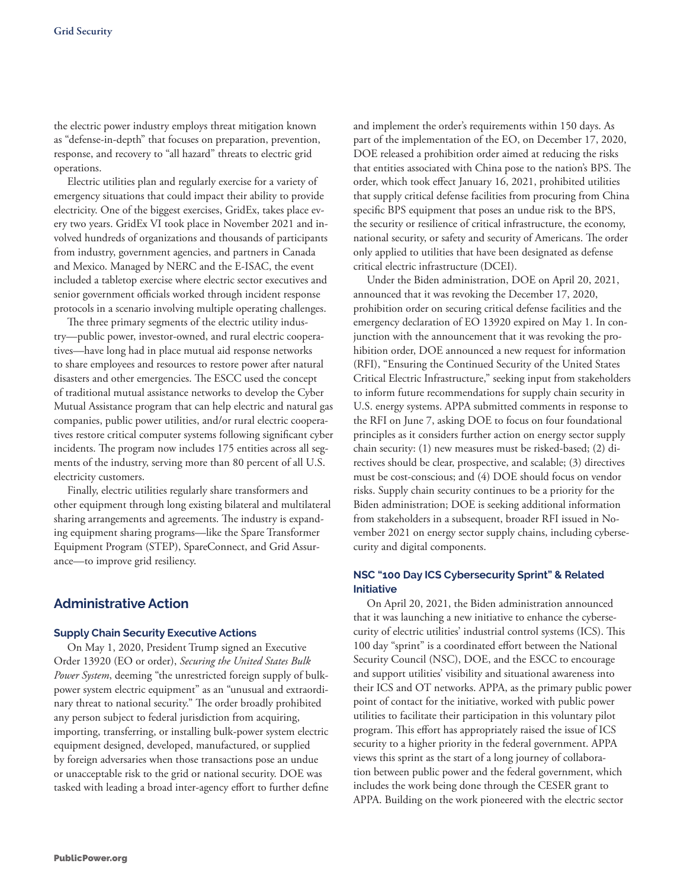the electric power industry employs threat mitigation known as "defense-in-depth" that focuses on preparation, prevention, response, and recovery to "all hazard" threats to electric grid operations.

Electric utilities plan and regularly exercise for a variety of emergency situations that could impact their ability to provide electricity. One of the biggest exercises, GridEx, takes place every two years. GridEx VI took place in November 2021 and involved hundreds of organizations and thousands of participants from industry, government agencies, and partners in Canada and Mexico. Managed by NERC and the E-ISAC, the event included a tabletop exercise where electric sector executives and senior government officials worked through incident response protocols in a scenario involving multiple operating challenges.

The three primary segments of the electric utility industry—public power, investor-owned, and rural electric cooperatives—have long had in place mutual aid response networks to share employees and resources to restore power after natural disasters and other emergencies. The ESCC used the concept of traditional mutual assistance networks to develop the Cyber Mutual Assistance program that can help electric and natural gas companies, public power utilities, and/or rural electric cooperatives restore critical computer systems following significant cyber incidents. The program now includes 175 entities across all segments of the industry, serving more than 80 percent of all U.S. electricity customers.

Finally, electric utilities regularly share transformers and other equipment through long existing bilateral and multilateral sharing arrangements and agreements. The industry is expanding equipment sharing programs—like the Spare Transformer Equipment Program (STEP), SpareConnect, and Grid Assurance—to improve grid resiliency.

## **Administrative Action**

#### **Supply Chain Security Executive Actions**

On May 1, 2020, President Trump signed an Executive Order 13920 (EO or order), *Securing the United States Bulk Power System*, deeming "the unrestricted foreign supply of bulkpower system electric equipment" as an "unusual and extraordinary threat to national security." The order broadly prohibited any person subject to federal jurisdiction from acquiring, importing, transferring, or installing bulk-power system electric equipment designed, developed, manufactured, or supplied by foreign adversaries when those transactions pose an undue or unacceptable risk to the grid or national security. DOE was tasked with leading a broad inter-agency effort to further define

and implement the order's requirements within 150 days. As part of the implementation of the EO, on December 17, 2020, DOE released a prohibition order aimed at reducing the risks that entities associated with China pose to the nation's BPS. The order, which took effect January 16, 2021, prohibited utilities that supply critical defense facilities from procuring from China specific BPS equipment that poses an undue risk to the BPS, the security or resilience of critical infrastructure, the economy, national security, or safety and security of Americans. The order only applied to utilities that have been designated as defense critical electric infrastructure (DCEI).

Under the Biden administration, DOE on April 20, 2021, announced that it was revoking the December 17, 2020, prohibition order on securing critical defense facilities and the emergency declaration of EO 13920 expired on May 1. In conjunction with the announcement that it was revoking the prohibition order, DOE announced a new request for information (RFI), "Ensuring the Continued Security of the United States Critical Electric Infrastructure," seeking input from stakeholders to inform future recommendations for supply chain security in U.S. energy systems. APPA submitted comments in response to the RFI on June 7, asking DOE to focus on four foundational principles as it considers further action on energy sector supply chain security: (1) new measures must be risked-based; (2) directives should be clear, prospective, and scalable; (3) directives must be cost-conscious; and (4) DOE should focus on vendor risks. Supply chain security continues to be a priority for the Biden administration; DOE is seeking additional information from stakeholders in a subsequent, broader RFI issued in November 2021 on energy sector supply chains, including cybersecurity and digital components.

#### **NSC "100 Day ICS Cybersecurity Sprint" & Related Initiative**

On April 20, 2021, the Biden administration announced that it was launching a new initiative to enhance the cybersecurity of electric utilities' industrial control systems (ICS). This 100 day "sprint" is a coordinated effort between the National Security Council (NSC), DOE, and the ESCC to encourage and support utilities' visibility and situational awareness into their ICS and OT networks. APPA, as the primary public power point of contact for the initiative, worked with public power utilities to facilitate their participation in this voluntary pilot program. This effort has appropriately raised the issue of ICS security to a higher priority in the federal government. APPA views this sprint as the start of a long journey of collaboration between public power and the federal government, which includes the work being done through the CESER grant to APPA. Building on the work pioneered with the electric sector